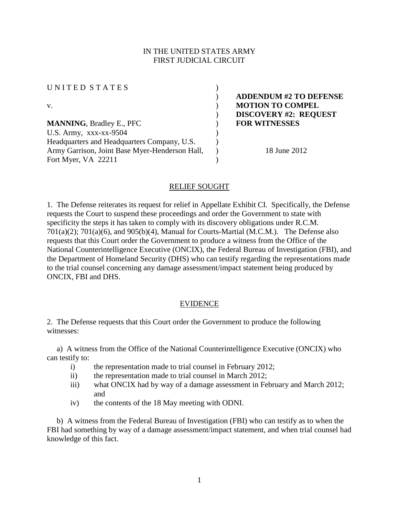# IN THE UNITED STATES ARMY FIRST JUDICIAL CIRCUIT

| UNITED STATES                                  |                               |
|------------------------------------------------|-------------------------------|
|                                                | <b>ADDENDUM #2 TO DEFENSE</b> |
| V.                                             | <b>MOTION TO COMPEL</b>       |
|                                                | <b>DISCOVERY #2: REQUEST</b>  |
| <b>MANNING, Bradley E., PFC</b>                | <b>FOR WITNESSES</b>          |
| U.S. Army, xxx-xx-9504                         |                               |
| Headquarters and Headquarters Company, U.S.    |                               |
| Army Garrison, Joint Base Myer-Henderson Hall, | 18 June 2012                  |
| Fort Myer, VA 22211                            |                               |

## RELIEF SOUGHT

1. The Defense reiterates its request for relief in Appellate Exhibit CI. Specifically, the Defense requests the Court to suspend these proceedings and order the Government to state with specificity the steps it has taken to comply with its discovery obligations under R.C.M.  $701(a)(2)$ ;  $701(a)(6)$ , and  $905(b)(4)$ , Manual for Courts-Martial (M.C.M.). The Defense also requests that this Court order the Government to produce a witness from the Office of the National Counterintelligence Executive (ONCIX), the Federal Bureau of Investigation (FBI), and the Department of Homeland Security (DHS) who can testify regarding the representations made to the trial counsel concerning any damage assessment/impact statement being produced by ONCIX, FBI and DHS.

### EVIDENCE

2. The Defense requests that this Court order the Government to produce the following witnesses:

 a) A witness from the Office of the National Counterintelligence Executive (ONCIX) who can testify to:

- i) the representation made to trial counsel in February 2012;
- ii) the representation made to trial counsel in March 2012;
- iii) what ONCIX had by way of a damage assessment in February and March 2012; and
- iv) the contents of the 18 May meeting with ODNI.

 b) A witness from the Federal Bureau of Investigation (FBI) who can testify as to when the FBI had something by way of a damage assessment/impact statement, and when trial counsel had knowledge of this fact.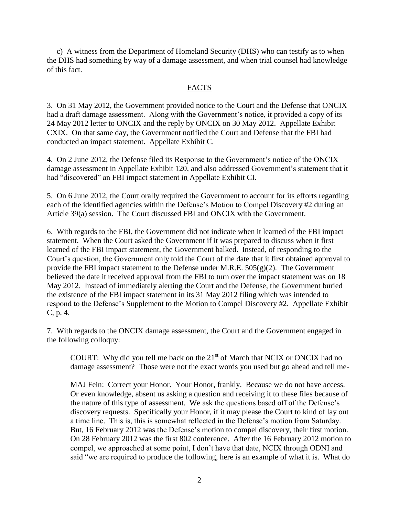c) A witness from the Department of Homeland Security (DHS) who can testify as to when the DHS had something by way of a damage assessment, and when trial counsel had knowledge of this fact.

#### **FACTS**

3. On 31 May 2012, the Government provided notice to the Court and the Defense that ONCIX had a draft damage assessment. Along with the Government's notice, it provided a copy of its 24 May 2012 letter to ONCIX and the reply by ONCIX on 30 May 2012. Appellate Exhibit CXIX. On that same day, the Government notified the Court and Defense that the FBI had conducted an impact statement. Appellate Exhibit C.

4. On 2 June 2012, the Defense filed its Response to the Government's notice of the ONCIX damage assessment in Appellate Exhibit 120, and also addressed Government's statement that it had "discovered" an FBI impact statement in Appellate Exhibit CI.

5. On 6 June 2012, the Court orally required the Government to account for its efforts regarding each of the identified agencies within the Defense's Motion to Compel Discovery #2 during an Article 39(a) session. The Court discussed FBI and ONCIX with the Government.

6. With regards to the FBI, the Government did not indicate when it learned of the FBI impact statement. When the Court asked the Government if it was prepared to discuss when it first learned of the FBI impact statement, the Government balked. Instead, of responding to the Court's question, the Government only told the Court of the date that it first obtained approval to provide the FBI impact statement to the Defense under M.R.E.  $505(g)(2)$ . The Government believed the date it received approval from the FBI to turn over the impact statement was on 18 May 2012. Instead of immediately alerting the Court and the Defense, the Government buried the existence of the FBI impact statement in its 31 May 2012 filing which was intended to respond to the Defense's Supplement to the Motion to Compel Discovery #2. Appellate Exhibit C, p. 4.

7. With regards to the ONCIX damage assessment, the Court and the Government engaged in the following colloquy:

COURT: Why did you tell me back on the  $21<sup>st</sup>$  of March that NCIX or ONCIX had no damage assessment? Those were not the exact words you used but go ahead and tell me-

MAJ Fein: Correct your Honor. Your Honor, frankly. Because we do not have access. Or even knowledge, absent us asking a question and receiving it to these files because of the nature of this type of assessment. We ask the questions based off of the Defense's discovery requests. Specifically your Honor, if it may please the Court to kind of lay out a time line. This is, this is somewhat reflected in the Defense's motion from Saturday. But, 16 February 2012 was the Defense's motion to compel discovery, their first motion. On 28 February 2012 was the first 802 conference. After the 16 February 2012 motion to compel, we approached at some point, I don't have that date, NCIX through ODNI and said "we are required to produce the following, here is an example of what it is. What do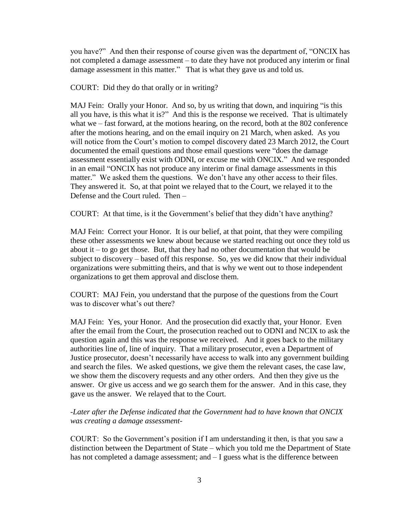you have?" And then their response of course given was the department of, "ONCIX has not completed a damage assessment – to date they have not produced any interim or final damage assessment in this matter." That is what they gave us and told us.

COURT: Did they do that orally or in writing?

MAJ Fein: Orally your Honor. And so, by us writing that down, and inquiring "is this all you have, is this what it is?" And this is the response we received. That is ultimately what we – fast forward, at the motions hearing, on the record, both at the 802 conference after the motions hearing, and on the email inquiry on 21 March, when asked. As you will notice from the Court's motion to compel discovery dated 23 March 2012, the Court documented the email questions and those email questions were "does the damage assessment essentially exist with ODNI, or excuse me with ONCIX." And we responded in an email "ONCIX has not produce any interim or final damage assessments in this matter." We asked them the questions. We don't have any other access to their files. They answered it. So, at that point we relayed that to the Court, we relayed it to the Defense and the Court ruled. Then –

COURT: At that time, is it the Government's belief that they didn't have anything?

MAJ Fein: Correct your Honor. It is our belief, at that point, that they were compiling these other assessments we knew about because we started reaching out once they told us about it  $-$  to go get those. But, that they had no other documentation that would be subject to discovery – based off this response. So, yes we did know that their individual organizations were submitting theirs, and that is why we went out to those independent organizations to get them approval and disclose them.

COURT: MAJ Fein, you understand that the purpose of the questions from the Court was to discover what's out there?

MAJ Fein: Yes, your Honor. And the prosecution did exactly that, your Honor. Even after the email from the Court, the prosecution reached out to ODNI and NCIX to ask the question again and this was the response we received. And it goes back to the military authorities line of, line of inquiry. That a military prosecutor, even a Department of Justice prosecutor, doesn't necessarily have access to walk into any government building and search the files. We asked questions, we give them the relevant cases, the case law, we show them the discovery requests and any other orders. And then they give us the answer. Or give us access and we go search them for the answer. And in this case, they gave us the answer. We relayed that to the Court.

# -*Later after the Defense indicated that the Government had to have known that ONCIX was creating a damage assessment*-

COURT: So the Government's position if I am understanding it then, is that you saw a distinction between the Department of State – which you told me the Department of State has not completed a damage assessment; and  $-I$  guess what is the difference between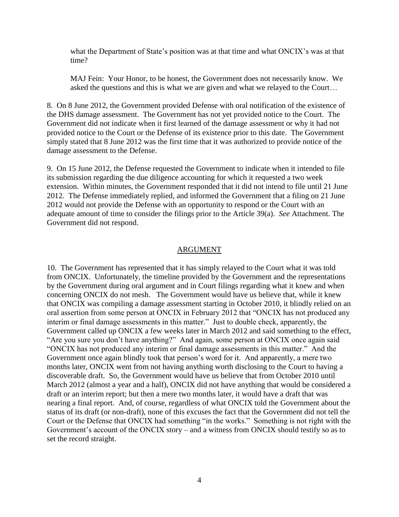what the Department of State's position was at that time and what ONCIX's was at that time?

MAJ Fein: Your Honor, to be honest, the Government does not necessarily know. We asked the questions and this is what we are given and what we relayed to the Court…

8. On 8 June 2012, the Government provided Defense with oral notification of the existence of the DHS damage assessment. The Government has not yet provided notice to the Court. The Government did not indicate when it first learned of the damage assessment or why it had not provided notice to the Court or the Defense of its existence prior to this date. The Government simply stated that 8 June 2012 was the first time that it was authorized to provide notice of the damage assessment to the Defense.

9. On 15 June 2012, the Defense requested the Government to indicate when it intended to file its submission regarding the due diligence accounting for which it requested a two week extension. Within minutes, the Government responded that it did not intend to file until 21 June 2012. The Defense immediately replied, and informed the Government that a filing on 21 June 2012 would not provide the Defense with an opportunity to respond or the Court with an adequate amount of time to consider the filings prior to the Article 39(a). *See* Attachment. The Government did not respond.

#### ARGUMENT

10. The Government has represented that it has simply relayed to the Court what it was told from ONCIX. Unfortunately, the timeline provided by the Government and the representations by the Government during oral argument and in Court filings regarding what it knew and when concerning ONCIX do not mesh. The Government would have us believe that, while it knew that ONCIX was compiling a damage assessment starting in October 2010, it blindly relied on an oral assertion from some person at ONCIX in February 2012 that "ONCIX has not produced any interim or final damage assessments in this matter." Just to double check, apparently, the Government called up ONCIX a few weeks later in March 2012 and said something to the effect, "Are you sure you don't have anything?" And again, some person at ONCIX once again said "ONCIX has not produced any interim or final damage assessments in this matter." And the Government once again blindly took that person's word for it. And apparently, a mere two months later, ONCIX went from not having anything worth disclosing to the Court to having a discoverable draft. So, the Government would have us believe that from October 2010 until March 2012 (almost a year and a half), ONCIX did not have anything that would be considered a draft or an interim report; but then a mere two months later, it would have a draft that was nearing a final report. And, of course, regardless of what ONCIX told the Government about the status of its draft (or non-draft), none of this excuses the fact that the Government did not tell the Court or the Defense that ONCIX had something "in the works." Something is not right with the Government's account of the ONCIX story – and a witness from ONCIX should testify so as to set the record straight.